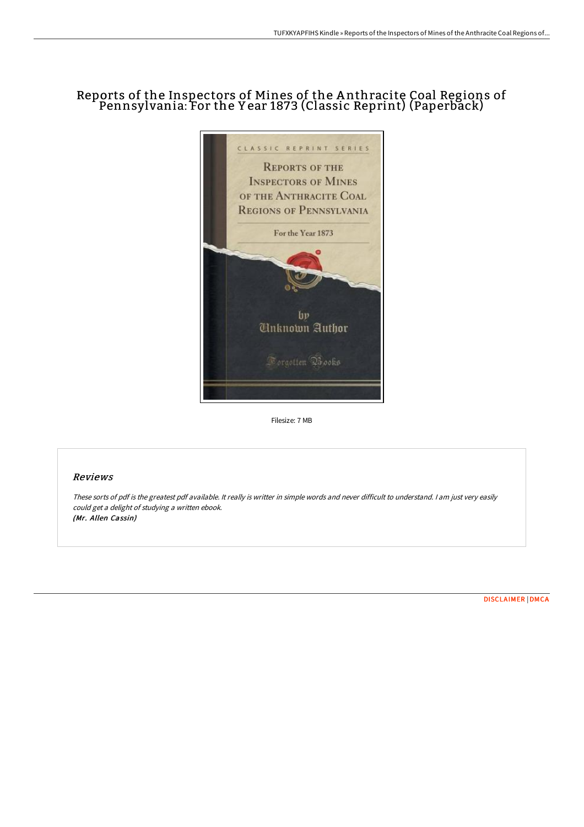## Reports of the Inspectors of Mines of the A nthracite Coal Regions of Pennsylvania: For the Y ear 1873 (Classic Reprint) (Paperback)



Filesize: 7 MB

## Reviews

These sorts of pdf is the greatest pdf available. It really is writter in simple words and never difficult to understand. <sup>I</sup> am just very easily could get <sup>a</sup> delight of studying <sup>a</sup> written ebook. (Mr. Allen Cassin)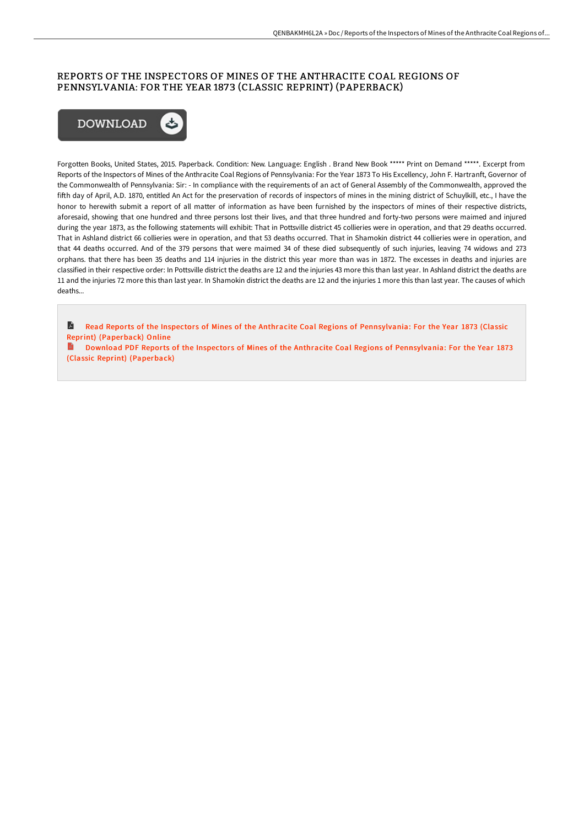## REPORTS OF THE INSPECTORS OF MINES OF THE ANTHRACITE COAL REGIONS OF PENNSYLVANIA: FOR THE YEAR 1873 (CLASSIC REPRINT) (PAPERBACK)



Forgotten Books, United States, 2015. Paperback. Condition: New. Language: English . Brand New Book \*\*\*\*\* Print on Demand \*\*\*\*\*. Excerpt from Reports of the Inspectors of Mines of the Anthracite Coal Regions of Pennsylvania: For the Year 1873 To His Excellency, John F. Hartranft, Governor of the Commonwealth of Pennsylvania: Sir: - In compliance with the requirements of an act of General Assembly of the Commonwealth, approved the fifth day of April, A.D. 1870, entitled An Act for the preservation of records of inspectors of mines in the mining district of Schuylkill, etc., I have the honor to herewith submit a report of all matter of information as have been furnished by the inspectors of mines of their respective districts, aforesaid, showing that one hundred and three persons lost their lives, and that three hundred and forty-two persons were maimed and injured during the year 1873, as the following statements will exhibit: That in Pottsville district 45 collieries were in operation, and that 29 deaths occurred. That in Ashland district 66 collieries were in operation, and that 53 deaths occurred. That in Shamokin district 44 collieries were in operation, and that 44 deaths occurred. And of the 379 persons that were maimed 34 of these died subsequently of such injuries, leaving 74 widows and 273 orphans. that there has been 35 deaths and 114 injuries in the district this year more than was in 1872. The excesses in deaths and injuries are classified in their respective order: In Pottsville district the deaths are 12 and the injuries 43 more this than last year. In Ashland district the deaths are 11 and the injuries 72 more this than last year. In Shamokin district the deaths are 12 and the injuries 1 more this than last year. The causes of which deaths...

R Read Reports of the Inspectors of Mines of the Anthracite Coal Regions of [Pennsylvania:](http://digilib.live/reports-of-the-inspectors-of-mines-of-the-anthra.html) For the Year 1873 (Classic Reprint) (Paperback) Online

Download PDF Reports of the Inspectors of Mines of the Anthracite Coal Regions of [Pennsylvania:](http://digilib.live/reports-of-the-inspectors-of-mines-of-the-anthra.html) For the Year 1873 (Classic Reprint) (Paperback)